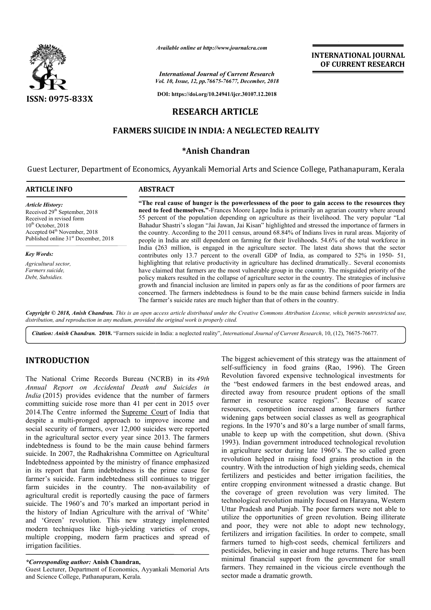

*Available online at http://www.journalcra.com*

*Vol. 10, Issue, 12, pp.76675-76677, December, 2018 International Journal of Current Research*

**DOI: https://doi.org/10.24941/ijcr.30107.12.2018**

# **RESEARCH ARTICLE**

# **FARMERS SUICIDE IN INDIA: A NEGLECTED REALITY SUICIDE IN**

### **\*Anish Chandran**

Guest Lecturer, Department of Economics, Ayyankali Memorial Arts and Science College, Pathanapuram, Kerala Pathanapuram, Kerala

| <b>ARTICLE INFO</b>                              | <b>ABSTRACT</b>                                                                                          |  |  |
|--------------------------------------------------|----------------------------------------------------------------------------------------------------------|--|--|
| <b>Article History:</b>                          | "The real cause of hunger is the powerlessness of the poor to gain access to the resources they          |  |  |
| Received 29 <sup>th</sup> September, 2018        | need to feed themselves."-Frances Moore Lappe India is primarily an agrarian country where around        |  |  |
| Received in revised form                         | 55 percent of the population depending on agriculture as their livelihood. The very popular "Lal         |  |  |
| $10^{th}$ October, 2018                          | Bahadur Shastri's slogan "Jai Jawan, Jai Kisan" highlighted and stressed the importance of farmers in    |  |  |
| Accepted 04 <sup>th</sup> November, 2018         | the country. According to the 2011 census, around 68.84% of Indians lives in rural areas. Majority of    |  |  |
| Published online 31 <sup>st</sup> December, 2018 | people in India are still dependent on farming for their livelihoods. 54.6% of the total workforce in    |  |  |
|                                                  | India (263 million, is engaged in the agriculture sector. The latest data shows that the sector          |  |  |
| <b>Key Words:</b>                                | contributes only 13.7 percent to the overall GDP of India, as compared to 52% in 1950- 51,               |  |  |
| Agricultural sector,                             | highlighting that relative productivity in agriculture has declined dramatically Several economists      |  |  |
| Farmers suicide.                                 | have claimed that farmers are the most vulnerable group in the country. The misguided priority of the    |  |  |
| Debt, Subsidies.                                 | policy makers resulted in the collapse of agriculture sector in the country. The strategies of inclusive |  |  |
|                                                  | growth and financial inclusion are limited in papers only as far as the conditions of poor farmers are   |  |  |
|                                                  | concerned. The farmers indebtedness is found to be the main cause behind farmers suicide in India        |  |  |
|                                                  | The farmer's suicide rates are much higher than that of others in the country.                           |  |  |
|                                                  |                                                                                                          |  |  |

Copyright © 2018, Anish Chandran. This is an open access article distributed under the Creative Commons Attribution License, which permits unrestricted use, *distribution, and reproduction in any medium, provided the original work is properly cited.*

Citation: Anish Chandran. 2018. "Farmers suicide in India: a neglected reality", International Journal of Current Research, 10, (12), 76675-76677.

# **INTRODUCTION**

The National Crime Records Bureau (NCRB) in its *49th Annual Report on Accidental Death and Suicides in India* (2015) provides evidence that the number of farmers committing suicide rose more than 41 per cent in 2015 over 2014. The Centre informed the Supreme Court of India that despite a multi-pronged approach to improve income and social security of farmers, over 12,000 suicides were reported in the agricultural sector every year since 2013. The farmers indebtedness is found to be the main cause behind farmers suicide. In 2007, the Radhakrishna Committee on Agricultural Indebtedness appointed by the ministry of finance emphasized in its report that farm indebtedness is the prime cause for farmer's suicide. Farm indebtedness still continues to trigger suicide. In 2007, the Radhakrishna Committee on Agricultural<br>Indebtedness appointed by the ministry of finance emphasized<br>in its report that farm indebtedness is the prime cause for<br>farmer's suicide. Farm indebtedness stil agricultural credit is reportedly causing the pace of farmers suicide. The 1960's and 70's marked an important period in the history of Indian Agriculture with the arrival of 'White' and 'Green' revolution. This new strategy implemented modern techniques like high-yielding varieties of crops, multiple cropping, modern farm practices and spread of irrigation facilities. pronged approach to improve income and<br>
i farmers, over 12,000 suicides were reported<br>
il sector every year since 2013. The farmers yielding varieties of crops,<br>m practices and spread of<br>andran,<br>momics, Ayyankali Memorial Arts

Guest Lecturer, Department of Economics, Ayyankali Memorial Arts and Science College, Pathanapuram, Kerala.

The biggest achievement of this strategy was the attainment of self-sufficiency in food grains (Rao, 1996). The Green Revolution favored expensive technological investments for the "best endowed farmers in the best endowed areas, and directed away from resource prudent options of the small farmer in resource scarce regions". Because of scarce resources, competition increased among farmers further widening gaps between social classes as well as geographica regions. In the 1970's and 80's a large number of small farms, unable to keep up with the competition, shut down. (Shiva 1993). Indian government introduced technological revolution in agriculture sector during late 1960's. The so called green revolution helped in raising food grains production in the country. With the introduction of high yielding seeds, chemical fertilizers and pesticides and better irrigation facilities, the entire cropping environment witnessed a drastic change. But the coverage of green revolution was very limited. The technological revolution mainly focused on Harayana, Western Uttar Pradesh and Punjab. The poor farmers were not able to utilize the opportunities of green revolution. Being illiterate and poor, they were not able to adopt new technology, fertilizers and irrigation facilities. In order to compete, small farmers turned to high-cost seeds, chemical fertilizers and pesticides, believing in easier and huge returns. There has been minimal financial support from the government for small farmers. They remained in the vicious circle eventhough the sector made a dramatic growth. biggest achievement of this strategy was the attainment of sufficiency in food grains (Rao, 1996). The Green blution favored expensive technological investments for "best endowed farmers in the best endowed areas, and ted regions. In the 1970's and 80's a large number of small farms, unable to keep up with the competition, shut down. (Shiva 1993). Indian government introduced technological revolution in agriculture sector during late 1960's facilities. In order to compete, small<br>cost seeds, chemical fertilizers and<br>asier and huge returns. There has been<br>ort from the government for small **INTERNATIONAL JOURNAL EXECTS (CONTRIBUTE THE CONTRIBUTE CONTRIBUTE CONTRIBUTE (CONTRIBUTE CONTRIBUTE CONTRIBUTE (CONTRIBUTE CONTRIBUTE CONTRIBUTE (CONTRIBUTE CONTRIBUTED AND SURFACE CONTRIBUTE (CONTRIBUTED AND SURFACE CON** 

**INTERNATIONAL JOURNAL OF CURRENT RESEARCH**

*<sup>\*</sup>Corresponding author:* **Anish Chandran,**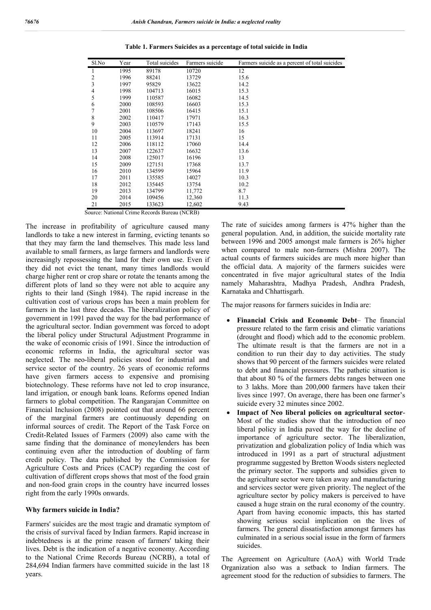| Sl.No          | Year | Total suicides | Farmers suicide | Farmers suicide as a percent of total suicides |
|----------------|------|----------------|-----------------|------------------------------------------------|
| 1              | 1995 | 89178          | 10720           | 12                                             |
| $\overline{2}$ | 1996 | 88241          | 13729           | 15.6                                           |
| 3              | 1997 | 95829          | 13622           | 14.2                                           |
| 4              | 1998 | 104713         | 16015           | 15.3                                           |
| 5              | 1999 | 110587         | 16082           | 14.5                                           |
| 6              | 2000 | 108593         | 16603           | 15.3                                           |
|                | 2001 | 108506         | 16415           | 15.1                                           |
| 8              | 2002 | 110417         | 17971           | 16.3                                           |
| 9              | 2003 | 110579         | 17143           | 15.5                                           |
| 10             | 2004 | 113697         | 18241           | 16                                             |
| 11             | 2005 | 113914         | 17131           | 15                                             |
| 12             | 2006 | 118112         | 17060           | 14.4                                           |
| 13             | 2007 | 122637         | 16632           | 13.6                                           |
| 14             | 2008 | 125017         | 16196           | 13                                             |
| 15             | 2009 | 127151         | 17368           | 13.7                                           |
| 16             | 2010 | 134599         | 15964           | 11.9                                           |
| 17             | 2011 | 135585         | 14027           | 10.3                                           |
| 18             | 2012 | 135445         | 13754           | 10.2                                           |
| 19             | 2013 | 134799         | 11,772          | 8.7                                            |
| 20             | 2014 | 109456         | 12,360          | 11.3                                           |
| 21             | 2015 | 133623         | 12,602          | 9.43                                           |

**Table 1. Farmers Suicides as a percentage of total suicide in India**

Source: National Crime Records Bureau (NCRB)

The increase in profitability of agriculture caused many landlords to take a new interest in farming, evicting tenants so that they may farm the land themselves. This made less land available to small farmers, as large farmers and landlords were increasingly repossessing the land for their own use. Even if they did not evict the tenant, many times landlords would charge higher rent or crop share or rotate the tenants among the different plots of land so they were not able to acquire any rights to their land (Singh 1984). The rapid increase in the cultivation cost of various crops has been a main problem for farmers in the last three decades. The liberalization policy of government in 1991 paved the way for the bad performance of the agricultural sector. Indian government was forced to adopt the liberal policy under Structural Adjustment Programme in the wake of economic crisis of 1991. Since the introduction of economic reforms in India, the agricultural sector was neglected. The neo-liberal policies stood for industrial and service sector of the country. 26 years of economic reforms have given farmers access to expensive and promising biotechnology. These reforms have not led to crop insurance, land irrigation, or enough bank loans. Reforms opened Indian farmers to global competition. The Rangarajan Committee on Financial Inclusion (2008) pointed out that around 66 percent of the marginal farmers are continuously depending on informal sources of credit. The Report of the Task Force on Credit-Related Issues of Farmers (2009) also came with the same finding that the dominance of moneylenders has been continuing even after the introduction of doubling of farm credit policy. The data published by the Commission for Agriculture Costs and Prices (CACP) regarding the cost of cultivation of different crops shows that most of the food grain and non-food grain crops in the country have incurred losses right from the early 1990s onwards.

#### **Why farmers suicide in India?**

Farmers' suicides are the most tragic and dramatic symptom of the crisis of survival faced by Indian farmers. Rapid increase in indebtedness is at the prime reason of farmers' taking their lives. Debt is the indication of a negative economy. According to the National Crime Records Bureau (NCRB), a total of 284,694 Indian farmers have committed suicide in the last 18 years.

The rate of suicides among farmers is 47% higher than the general population. And, in addition, the suicide mortality rate between 1996 and 2005 amongst male farmers is 26% higher when compared to male non-farmers (Mishra 2007). The actual counts of farmers suicides are much more higher than the official data. A majority of the farmers suicides were concentrated in five major agricultural states of the India namely Maharashtra, Madhya Pradesh, Andhra Pradesh, Karnataka and Chhattisgarh.

The major reasons for farmers suicides in India are:

- **Financial Crisis and Economic Debt** The financial pressure related to the farm crisis and climatic variations (drought and flood) which add to the economic problem. The ultimate result is that the farmers are not in a condition to run their day to day activities. The study shows that 90 percent of the farmers suicides were related to debt and financial pressures. The pathetic situation is that about 80 % of the farmers debts ranges between one to 3 lakhs. More than 200,000 farmers have taken their lives since 1997. On average, there has been one farmer's suicide every 32 minutes since 2002.
- **Impact of Neo liberal policies on agricultural sector**-Most of the studies show that the introduction of neo liberal policy in India paved the way for the decline of importance of agriculture sector. The liberalization, privatization and globalization policy of India which was introduced in 1991 as a part of structural adjustment programme suggested by Bretton Woods sisters neglected the primary sector. The supports and subsidies given to the agriculture sector were taken away and manufacturing and services sector were given priority. The neglect of the agriculture sector by policy makers is perceived to have caused a huge strain on the rural economy of the country. Apart from having economic impacts, this has started showing serious social implication on the lives of farmers. The general dissatisfaction amongst farmers has culminated in a serious social issue in the form of farmers suicides.

The Agreement on Agriculture (AoA) with World Trade Organization also was a setback to Indian farmers. The agreement stood for the reduction of subsidies to farmers. The